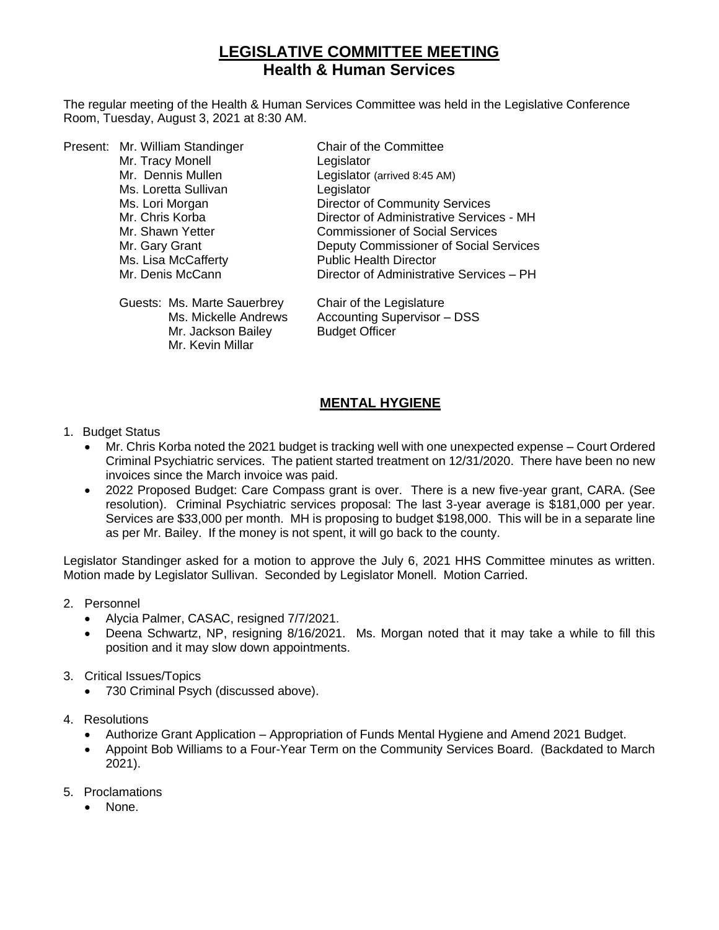# **LEGISLATIVE COMMITTEE MEETING Health & Human Services**

The regular meeting of the Health & Human Services Committee was held in the Legislative Conference Room, Tuesday, August 3, 2021 at 8:30 AM.

|  | Present: Mr. William Standinger | Chair of the Committee                   |
|--|---------------------------------|------------------------------------------|
|  | Mr. Tracy Monell                | Legislator                               |
|  | Mr. Dennis Mullen               | Legislator (arrived 8:45 AM)             |
|  | Ms. Loretta Sullivan            | Legislator                               |
|  | Ms. Lori Morgan                 | <b>Director of Community Services</b>    |
|  | Mr. Chris Korba                 | Director of Administrative Services - MH |
|  | Mr. Shawn Yetter                | <b>Commissioner of Social Services</b>   |
|  | Mr. Gary Grant                  | Deputy Commissioner of Social Services   |
|  | Ms. Lisa McCafferty             | <b>Public Health Director</b>            |
|  | Mr. Denis McCann                | Director of Administrative Services - PH |
|  |                                 |                                          |

| Guests: Ms. Marte Sauerbrey | Chair of the Legislature    |
|-----------------------------|-----------------------------|
| Ms. Mickelle Andrews        | Accounting Supervisor - DSS |
| Mr. Jackson Bailey          | <b>Budget Officer</b>       |
| Mr. Kevin Millar            |                             |

# **MENTAL HYGIENE**

#### 1. Budget Status

- Mr. Chris Korba noted the 2021 budget is tracking well with one unexpected expense Court Ordered Criminal Psychiatric services. The patient started treatment on 12/31/2020. There have been no new invoices since the March invoice was paid.
- 2022 Proposed Budget: Care Compass grant is over. There is a new five-year grant, CARA. (See resolution). Criminal Psychiatric services proposal: The last 3-year average is \$181,000 per year. Services are \$33,000 per month. MH is proposing to budget \$198,000. This will be in a separate line as per Mr. Bailey. If the money is not spent, it will go back to the county.

Legislator Standinger asked for a motion to approve the July 6, 2021 HHS Committee minutes as written. Motion made by Legislator Sullivan. Seconded by Legislator Monell. Motion Carried.

- 2. Personnel
	- Alycia Palmer, CASAC, resigned 7/7/2021.
	- Deena Schwartz, NP, resigning 8/16/2021. Ms. Morgan noted that it may take a while to fill this position and it may slow down appointments.
- 3. Critical Issues/Topics
	- 730 Criminal Psych (discussed above).
- 4. Resolutions
	- Authorize Grant Application Appropriation of Funds Mental Hygiene and Amend 2021 Budget.
	- Appoint Bob Williams to a Four-Year Term on the Community Services Board. (Backdated to March 2021).
- 5. Proclamations
	- None.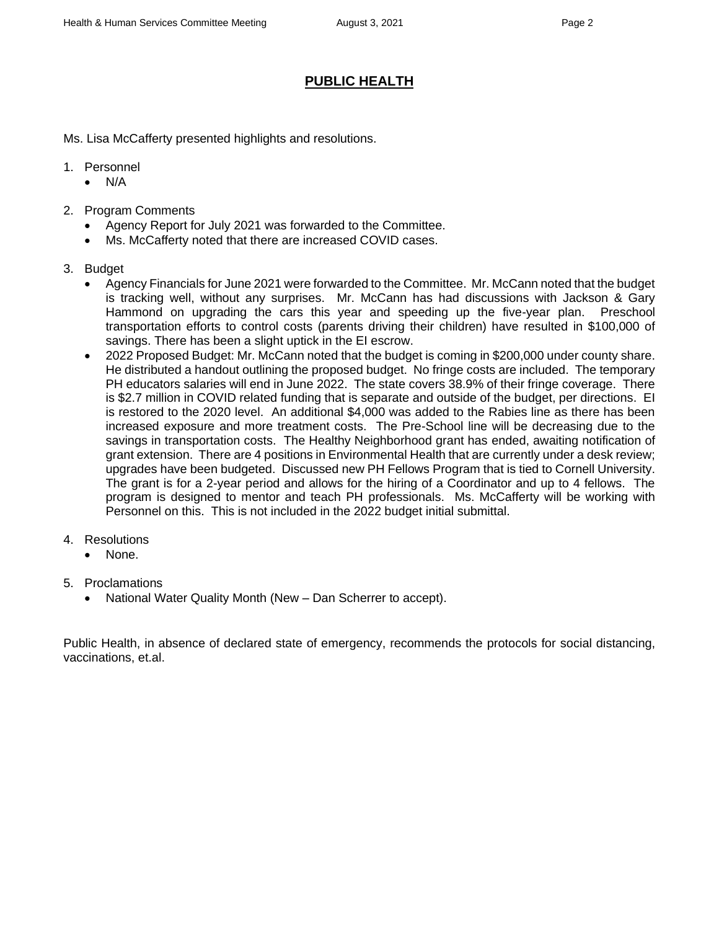# **PUBLIC HEALTH**

Ms. Lisa McCafferty presented highlights and resolutions.

- 1. Personnel
	- N/A
- 2. Program Comments
	- Agency Report for July 2021 was forwarded to the Committee.
	- Ms. McCafferty noted that there are increased COVID cases.
- 3. Budget
	- Agency Financials for June 2021 were forwarded to the Committee. Mr. McCann noted that the budget is tracking well, without any surprises. Mr. McCann has had discussions with Jackson & Gary Hammond on upgrading the cars this year and speeding up the five-year plan. Preschool transportation efforts to control costs (parents driving their children) have resulted in \$100,000 of savings. There has been a slight uptick in the EI escrow.
	- 2022 Proposed Budget: Mr. McCann noted that the budget is coming in \$200,000 under county share. He distributed a handout outlining the proposed budget. No fringe costs are included. The temporary PH educators salaries will end in June 2022. The state covers 38.9% of their fringe coverage. There is \$2.7 million in COVID related funding that is separate and outside of the budget, per directions. EI is restored to the 2020 level. An additional \$4,000 was added to the Rabies line as there has been increased exposure and more treatment costs. The Pre-School line will be decreasing due to the savings in transportation costs. The Healthy Neighborhood grant has ended, awaiting notification of grant extension. There are 4 positions in Environmental Health that are currently under a desk review; upgrades have been budgeted. Discussed new PH Fellows Program that is tied to Cornell University. The grant is for a 2-year period and allows for the hiring of a Coordinator and up to 4 fellows. The program is designed to mentor and teach PH professionals. Ms. McCafferty will be working with Personnel on this. This is not included in the 2022 budget initial submittal.
- 4. Resolutions
	- None.
- 5. Proclamations
	- National Water Quality Month (New Dan Scherrer to accept).

Public Health, in absence of declared state of emergency, recommends the protocols for social distancing, vaccinations, et.al.